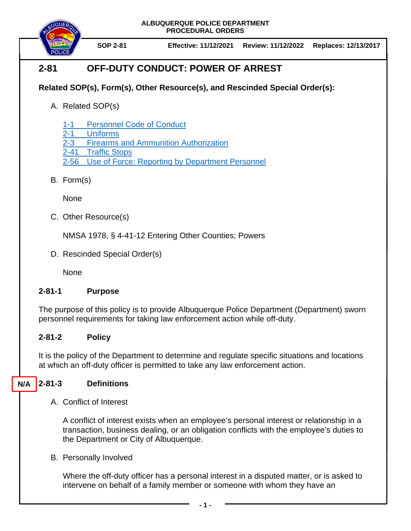**ALBUQUERQUE POLICE DEPARTMENT PROCEDURAL ORDERS**



**SOP 2-81 Effective: 11/12/2021 Review: 11/12/2022 Replaces: 12/13/2017**

# **2-81 OFF-DUTY CONDUCT: POWER OF ARREST**

## **Related SOP(s), Form(s), Other Resource(s), and Rescinded Special Order(s):**

A. Related SOP(s)

1-1 [Personnel Code of Conduct](https://powerdms.com/docs/1700599)

- 2-1 [Uniforms](https://powerdms.com/docs/84)
- [2-3 Firearms and Ammunition Authorization](https://powerdms.com/docs/105)
- 2-41 [Traffic Stops](https://powerdms.com/docs/130)
- 2-56 [Use of Force: Reporting by Department Personnel](https://powerdms.com/docs/1897084)
- B. Form(s)

**None** 

C. Other Resource(s)

NMSA 1978, § 4-41-12 Entering Other Counties; Powers

D. Rescinded Special Order(s)

None

### **2-81-1 Purpose**

The purpose of this policy is to provide Albuquerque Police Department (Department) sworn personnel requirements for taking law enforcement action while off-duty.

## **2-81-2 Policy**

It is the policy of the Department to determine and regulate specific situations and locations at which an off-duty officer is permitted to take any law enforcement action.

#### **2-81-3 Definitions N/A**

A. Conflict of Interest

A conflict of interest exists when an employee's personal interest or relationship in a transaction, business dealing, or an obligation conflicts with the employee's duties to the Department or City of Albuquerque.

B. Personally Involved

Where the off-duty officer has a personal interest in a disputed matter, or is asked to intervene on behalf of a family member or someone with whom they have an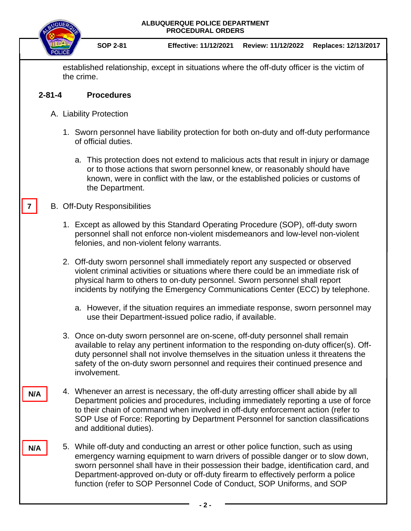

established relationship, except in situations where the off-duty officer is the victim of the crime.

#### **2-81-4 Procedures**

- A. Liability Protection
	- 1. Sworn personnel have liability protection for both on-duty and off-duty performance of official duties.
		- a. This protection does not extend to malicious acts that result in injury or damage or to those actions that sworn personnel knew, or reasonably should have known, were in conflict with the law, or the established policies or customs of the Department.

#### B. Off-Duty Responsibilities

**7**

**N/A**

**N/A**

- 1. Except as allowed by this Standard Operating Procedure (SOP), off-duty sworn personnel shall not enforce non-violent misdemeanors and low-level non-violent felonies, and non-violent felony warrants.
- 2. Off-duty sworn personnel shall immediately report any suspected or observed violent criminal activities or situations where there could be an immediate risk of physical harm to others to on-duty personnel. Sworn personnel shall report incidents by notifying the Emergency Communications Center (ECC) by telephone.
	- a. However, if the situation requires an immediate response, sworn personnel may use their Department-issued police radio, if available.
- 3. Once on-duty sworn personnel are on-scene, off-duty personnel shall remain available to relay any pertinent information to the responding on-duty officer(s). Offduty personnel shall not involve themselves in the situation unless it threatens the safety of the on-duty sworn personnel and requires their continued presence and involvement.
- 4. Whenever an arrest is necessary, the off-duty arresting officer shall abide by all Department policies and procedures, including immediately reporting a use of force to their chain of command when involved in off-duty enforcement action (refer to SOP Use of Force: Reporting by Department Personnel for sanction classifications and additional duties).
- 5. While off-duty and conducting an arrest or other police function, such as using emergency warning equipment to warn drivers of possible danger or to slow down, sworn personnel shall have in their possession their badge, identification card, and Department-approved on-duty or off-duty firearm to effectively perform a police function (refer to SOP Personnel Code of Conduct, SOP Uniforms, and SOP